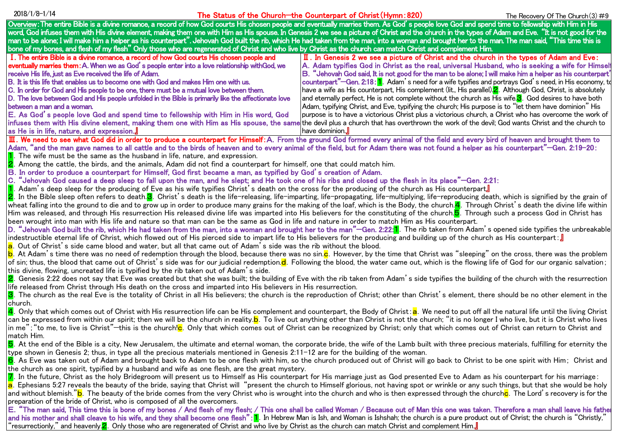# $2018/1/8-1/14$  The Status of the Church—the Counterpart of Christ (Hymn: 820) The Recovery Of The Church (3) #9

| Overview:The entire Bible is a divine romance, a record of how God courts His chosen people and eventually marries them. As God's people love God and spend time to fellowship with Him in His                                                                                                                                                                                                                         |                                                                                                                                                                                                                    |
|------------------------------------------------------------------------------------------------------------------------------------------------------------------------------------------------------------------------------------------------------------------------------------------------------------------------------------------------------------------------------------------------------------------------|--------------------------------------------------------------------------------------------------------------------------------------------------------------------------------------------------------------------|
| word, God infuses them with His divine element, making them one with Him as His spouse. In Genesis 2 we see a picture of Christ and the church in t <u>he types of Adam and Eve. "It is not good for the</u>                                                                                                                                                                                                           |                                                                                                                                                                                                                    |
| man to be alone; I will make him a helper as his counterpart". Jehovah God built the rib, which He had taken from the man, into a woman and brought her to the man. The man said, "This time this is<br>bone of my bones, and flesh of my flesh" Only those who are regenerated of Christ and who live by Christ as the church can match Christ and complement Him.                                                    |                                                                                                                                                                                                                    |
| I. The entire Bible is a divine romance, a record of how God courts His chosen people and                                                                                                                                                                                                                                                                                                                              | II. In Genesis 2 we see a picture of Christ and the church in the types of Adam and Eve:                                                                                                                           |
| eventually marries them: A. When we as God's people enter into a love relationship withGod, we                                                                                                                                                                                                                                                                                                                         | A. Adam typifies God in Christ as the real, universal Husband, who is seeking a wife for Himself                                                                                                                   |
| receive His life, just as Eve received the life of Adam.                                                                                                                                                                                                                                                                                                                                                               | B. "Jehovah God said, It is not good for the man to be alone; I will make him a helper as his counterpart'                                                                                                         |
| B. It is this life that enables us to become one with God and makes Him one with us.                                                                                                                                                                                                                                                                                                                                   | counterpart"—Gen. 2:18:1. Adam's need for a wife typifies and portrays God's need, in His economy, to                                                                                                              |
| C. In order for God and His people to be one, there must be a mutual love between them.                                                                                                                                                                                                                                                                                                                                | have a wife as His counterpart, His complement (lit., His parallel). 2. Although God, Christ, is absolutely                                                                                                        |
| D. The love between God and His people unfolded in the Bible is primarily like the affectionate love                                                                                                                                                                                                                                                                                                                   | and eternally perfect, He is not complete without the church as His wife. $3$ . God desires to have both                                                                                                           |
| between a man and a woman.                                                                                                                                                                                                                                                                                                                                                                                             | Adam, typifying Christ, and Eve, typifying the church; His purpose is to "let them have dominion" His                                                                                                              |
| E. As God's people love God and spend time to fellowship with Him in His word, God                                                                                                                                                                                                                                                                                                                                     | purpose is to have a victorious Christ plus a victorious church, a Christ who has overcome the work of                                                                                                             |
|                                                                                                                                                                                                                                                                                                                                                                                                                        | infuses them with His divine element, making them one with Him as His spouse, the same the devil plus a church that has overthrown the work of the devil; God wants Christ and the church to                       |
| as He is in life, nature, and expression. <u>J</u>                                                                                                                                                                                                                                                                                                                                                                     | have dominion <u>I</u>                                                                                                                                                                                             |
| III. We need to see what God did in order to produce a counterpart for Himself: A. From the ground God formed every animal of the field and every bird of heaven and brought them to                                                                                                                                                                                                                                   |                                                                                                                                                                                                                    |
| Adam, "and the man gave names to all cattle and to the birds of heaven and to every animal of the field, but for Adam there was not found a helper as his counterpart"—Gen. 2:19–20:                                                                                                                                                                                                                                   |                                                                                                                                                                                                                    |
| $\boldsymbol{\mathrm{1}}$ . The wife must be the same as the husband in life, nature, and expression.                                                                                                                                                                                                                                                                                                                  |                                                                                                                                                                                                                    |
| 2. Among the cattle, the birds, and the animals, Adam did not find a counterpart for himself, one that could match him.                                                                                                                                                                                                                                                                                                |                                                                                                                                                                                                                    |
| B. In order to produce a counterpart for Himself, God first became a man, as typified by God's creation of Adam.                                                                                                                                                                                                                                                                                                       |                                                                                                                                                                                                                    |
| C. "Jehovah God caused a deep sleep to fall upon the man, and he slept; and He took one of his ribs and closed up the flesh in its place"—Gen. 2:21:                                                                                                                                                                                                                                                                   |                                                                                                                                                                                                                    |
| 1. Adam's deep sleep for the producing of Eve as his wife typifies Christ's death on the cross for the producing of the church as His counterpart.                                                                                                                                                                                                                                                                     |                                                                                                                                                                                                                    |
| 2. In the Bible sleep often refers to death. <mark>3</mark> . Christ's death is the life-releasing, life-imparting, life-propagating, life-multiplying, life-reproducing death, which is signified by the grain of                                                                                                                                                                                                     |                                                                                                                                                                                                                    |
| wheat falling into the ground to die and to grow up in order to produce many grains for the making of the loaf, which is the Body, the church. <mark>4</mark> . Through Christ's death the divine life within<br>Him was released, and through His resurrection His released divine life was imparted into His believers for the constituting of the church. <mark>5</mark> . Through such a process God in Christ has |                                                                                                                                                                                                                    |
| been wrought into man with His life and nature so that man can be the same as God in life and nature in order to match Him as His counterpart.                                                                                                                                                                                                                                                                         |                                                                                                                                                                                                                    |
| D. "Jehovah God built the rib, which He had taken from the man, into a woman and brought her to the man"—Gen. 2:22: <mark>1</mark> . The rib taken from Adam's opened side typifies the unbreakable                                                                                                                                                                                                                    |                                                                                                                                                                                                                    |
| indestructible eternal life of Christ, which flowed out of His pierced side to impart life to His believers for the producing and building up of the church as His counterpart:』                                                                                                                                                                                                                                       |                                                                                                                                                                                                                    |
| <mark>a</mark> . Out of Christ's side came blood and water, but all that came out of Adam's side was the rib without the blood.                                                                                                                                                                                                                                                                                        |                                                                                                                                                                                                                    |
| <mark>b</mark> . At Adam's time there was no need of redemption through the blood, because there was no sin. <mark>c</mark> . However, by the time that Christ was "sleeping" on the cross, there was the problem                                                                                                                                                                                                      |                                                                                                                                                                                                                    |
| of sin; thus, the blood that came out of Christ's side was for our judicial redemption. <mark>d</mark> . Following the blood, the water came out, which is the flowing life of God for our organic salvation;                                                                                                                                                                                                          |                                                                                                                                                                                                                    |
| this divine, flowing, uncreated life is typified by the rib taken out of Adam's side.                                                                                                                                                                                                                                                                                                                                  |                                                                                                                                                                                                                    |
| 2. Genesis 2:22 does not say that Eve was created but that she was built; the building of Eve with the rib taken from Adam's side typifies the building of the church with the resurrection                                                                                                                                                                                                                            |                                                                                                                                                                                                                    |
| life released from Christ through His death on the cross and imparted into His believers in His resurrection.                                                                                                                                                                                                                                                                                                          |                                                                                                                                                                                                                    |
|                                                                                                                                                                                                                                                                                                                                                                                                                        | 3. The church as the real Eve is the totality of Christ in all His believers; the church is the reproduction of Christ; other than Christ's element, there should be no other element in the                       |
| church.                                                                                                                                                                                                                                                                                                                                                                                                                |                                                                                                                                                                                                                    |
| $\overline{4}$ . Only that which comes out of Christ with His resurrection life can be His complement and counterpart, the Body of Christ: $\overline{a}$ . We need to put off all the natural life until the living Christ                                                                                                                                                                                            |                                                                                                                                                                                                                    |
|                                                                                                                                                                                                                                                                                                                                                                                                                        | can be expressed from within our spirit; then we will be the church in reality. <mark>b</mark> . To live out anything other than Christ is not the church; "it is no longer I who live, but it is Christ who lives |
|                                                                                                                                                                                                                                                                                                                                                                                                                        | in me"; "to me, to live is Christ"—this is the church! <mark>c</mark> . Only that which comes out of Christ can be recognized by Christ; only that which comes out of Christ can return to Christ and              |
| match Him.                                                                                                                                                                                                                                                                                                                                                                                                             |                                                                                                                                                                                                                    |
| type shown in Genesis 2; thus, in type all the precious materials mentioned in Genesis 2:11-12 are for the building of the woman.                                                                                                                                                                                                                                                                                      | 5. At the end of the Bible is a city, New Jerusalem, the ultimate and eternal woman, the corporate bride, the wife of the Lamb built with three precious materials, fulfilling for eternity the                    |
| 6. As Eve was taken out of Adam and brought back to Adam to be one flesh with him, so the church produced out of Christ will go back to Christ to be one spirit with Him; Christ and                                                                                                                                                                                                                                   |                                                                                                                                                                                                                    |
| the church as one spirit, typified by a husband and wife as one flesh, are the great mystery.                                                                                                                                                                                                                                                                                                                          |                                                                                                                                                                                                                    |
| 7. In the future, Christ as the holy Bridegroom will present us to Himself as His counterpart for His marriage just as God presented Eve to Adam as his counterpart for his marriage:                                                                                                                                                                                                                                  |                                                                                                                                                                                                                    |
| <mark>a</mark> . Ephesians 5:27 reveals the beauty of the bride, saying that Christ will "present the church to Himself glorious, not having spot or wrinkle or any such things, but that she would be holy                                                                                                                                                                                                            |                                                                                                                                                                                                                    |
| and without blemish." <mark>b</mark> . The beauty of the bride comes from the very Christ who is wrought into the church and who is then expressed through the church <mark>o</mark> . The Lord's recovery is for the                                                                                                                                                                                                  |                                                                                                                                                                                                                    |
| preparation of the bride of Christ, who is composed of all the overcomers.                                                                                                                                                                                                                                                                                                                                             |                                                                                                                                                                                                                    |
| E. "The man said, This time this is bone of my bones / And flesh of my flesh; / This one shall be called Woman / Because out of Man this one was taken. Therefore a man shall leave his father                                                                                                                                                                                                                         |                                                                                                                                                                                                                    |

and his mother and shall cleave to his wife, and they shall become one flesh": <mark>1</mark>. In Hebrew Man is Ish, and Woman is Ishshah; the church is a pure product out of Christ; the church is "Christly," "resurrectionly," and heavenly.<mark>2</mark>. Only those who are regenerated of Christ and who live by Christ as the church can match Christ and complement Him.<u>』</u>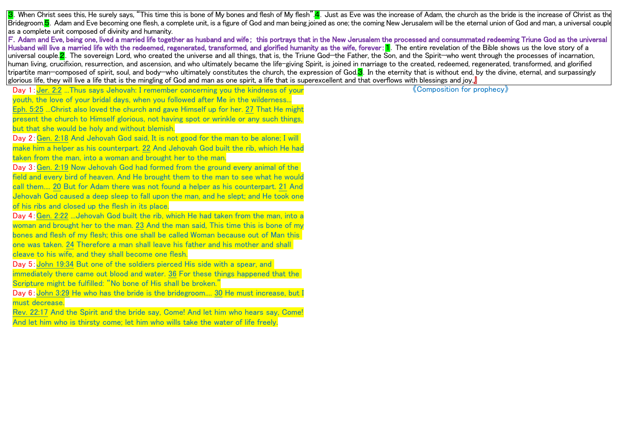3. When Christ sees this, He surely says, "This time this is bone of My bones and flesh of My flesh". Just as Eve was the increase of Adam, the church as the bride is the increase of Christ as the Bridegroom. 5. Adam and Eve becoming one flesh, a complete unit, is a figure of God and man being joined as one; the coming New Jerusalem will be the eternal union of God and man, a universal couple as a complete unit composed of divinity and humanity.

F.Adam and Eve, being one, lived a married life together as husband and wife; this portrays that in the New Jerusalem the processed and consummated redeeming Triune God as the universal Husband will live a married life with the redeemed, regenerated, transformed, and glorified humanity as the wife, forever: 1. The entire revelation of the Bible shows us the love story of a universal couple. 2. The sovereign Lord, who created the universe and all things, that is, the Triune God—the Father, the Son, and the Spirit—who went through the processes of incarnation, human living, crucifixion, resurrection, and ascension, and who ultimately became the life-giving Spirit, is joined in marriage to the created, redeemed, regenerated, transformed, and glorified tripartite man—composed of spirit, soul, and body—who ultimately constitutes the church, the expression of God.<mark>3</mark>. In the eternity that is without end, by the divine, eternal, and surpassingly glorious life, they will live a life that is the mingling of God and man as one spirit, a life that is superexcellent and that overflows with blessings and joy.』

Day 1:Jer. 2:2 ...Thus says Jehovah: I remember concerning you the kindness of your youth, the love of your bridal days, when you followed after Me in the wilderness... Eph. 5:25 ...Christ also loved the church and gave Himself up for her. 27 That He might present the church to Himself glorious, not having spot or wrinkle or any such things, but that she would be holy and without blemish.

Day 2:Gen. 2:18 And Jehovah God said, It is not good for the man to be alone; I will make him a helper as his counterpart. 22 And Jehovah God built the rib, which He had taken from the man, into a woman and brought her to the man.

Day 3:Gen. 2:19 Now Jehovah God had formed from the ground every animal of the field and every bird of heaven. And He brought them to the man to see what he would call them.... 20 But for Adam there was not found a helper as his counterpart. 21 And Jehovah God caused a deep sleep to fall upon the man, and he slept; and He took one of his ribs and closed up the flesh in its place.

Day 4: Gen. 2:22 ...Jehovah God built the rib, which He had taken from the man, into a woman and brought her to the man. 23 And the man said, This time this is bone of my bones and flesh of my flesh; this one shall be called Woman because out of Man this one was taken. 24 Therefore a man shall leave his father and his mother and shall cleave to his wife, and they shall become one flesh.

Day 5: John 19:34 But one of the soldiers pierced His side with a spear, and immediately there came out blood and water. 36 For these things happened that the Scripture might be fulfilled: "No bone of His shall be broken."

Day 6: John 3:29 He who has the bride is the bridegroom.... 30 He must increase, but I must decrease.

Rev. 22:17 And the Spirit and the bride say, Come! And let him who hears say, Come! And let him who is thirsty come; let him who wills take the water of life freely.

《Composition for prophecy》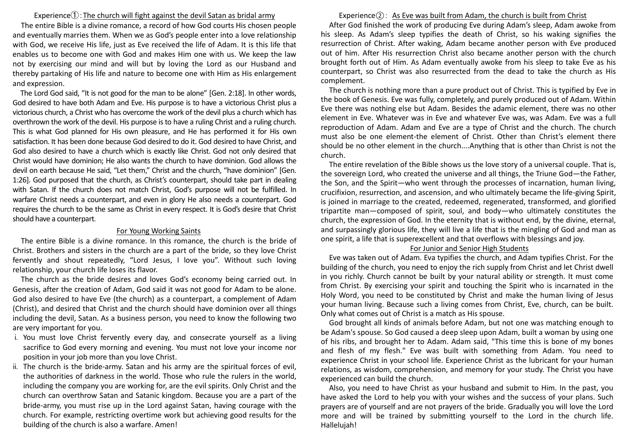## Experience $\textcircled{1}$ : The church will fight against the devil Satan as bridal army

The entire Bible is a divine romance, a record of how God courts His chosen people and eventually marries them. When we as God's people enter into a love relationship with God, we receive His life, just as Eve received the life of Adam. It is this life that enables us to become one with God and makes Him one with us. We keep the law not by exercising our mind and will but by loving the Lord as our Husband and thereby partaking of His life and nature to become one with Him as His enlargement and expression.

The Lord God said, "It is not good for the man to be alone" [Gen. 2:18]. In other words, God desired to have both Adam and Eve. His purpose is to have a victorious Christ plus a victorious church, a Christ who has overcome the work of the devil plus a church which has overthrown the work of the devil. His purpose is to have a ruling Christ and a ruling church. This is what God planned for His own pleasure, and He has performed it for His own satisfaction. It has been done because God desired to do it. God desired to have Christ, and God also desired to have a church which is exactly like Christ. God not only desired that Christ would have dominion; He also wants the church to have dominion. God allows the devil on earth because He said, "Let them," Christ and the church, "have dominion" [Gen. 1:26]. God purposed that the church, as Christ's counterpart, should take part in dealing with Satan. If the church does not match Christ, God's purpose will not be fulfilled. In warfare Christ needs a counterpart, and even in glory He also needs a counterpart. God requires the church to be the same as Christ in every respect. It is God's desire that Christ should have a counterpart.

#### For Young Working Saints

The entire Bible is a divine romance. In this romance, the church is the bride of Christ. Brothers and sisters in the church are a part of the bride, so they love Christ fervently and shout repeatedly, "Lord Jesus, I love you". Without such loving relationship, your church life loses its flavor.

The church as the bride desires and loves God's economy being carried out. In Genesis, after the creation of Adam, God said it was not good for Adam to be alone. God also desired to have Eve (the church) as a counterpart, a complement of Adam (Christ), and desired that Christ and the church should have dominion over all things including the devil, Satan. As a business person, you need to know the following two are very important for you.

- i. You must love Christ fervently every day, and consecrate yourself as a living sacrifice to God every morning and evening. You must not love your income nor position in your job more than you love Christ.
- ii. The church is the bride-army. Satan and his army are the spiritual forces of evil, the authorities of darkness in the world. Those who rule the rulers in the world, including the company you are working for, are the evil spirits. Only Christ and the church can overthrow Satan and Satanic kingdom. Because you are a part of the bride-army, you must rise up in the Lord against Satan, having courage with the church. For example, restricting overtime work but achieving good results for the building of the church is also a warfare. Amen!

### Experience $(2)$ : As Eve was built from Adam, the church is built from Christ

After God finished the work of producing Eve during Adam's sleep, Adam awoke from his sleep. As Adam's sleep typifies the death of Christ, so his waking signifies the resurrection of Christ. After waking, Adam became another person with Eve produced out of him. After His resurrection Christ also became another person with the church brought forth out of Him. As Adam eventually awoke from his sleep to take Eve as his counterpart, so Christ was also resurrected from the dead to take the church as His complement.

The church is nothing more than a pure product out of Christ. This is typified by Eve in the book of Genesis. Eve was fully, completely, and purely produced out of Adam. Within Eve there was nothing else but Adam. Besides the adamic element, there was no other element in Eve. Whatever was in Eve and whatever Eve was, was Adam. Eve was a full reproduction of Adam. Adam and Eve are a type of Christ and the church. The church must also be one element-the element of Christ. Other than Christ's element there should be no other element in the church....Anything that is other than Christ is not the church.

The entire revelation of the Bible shows us the love story of a universal couple. That is, the sovereign Lord, who created the universe and all things, the Triune God—the Father, the Son, and the Spirit—who went through the processes of incarnation, human living, crucifixion, resurrection, and ascension, and who ultimately became the life-giving Spirit, is joined in marriage to the created, redeemed, regenerated, transformed, and glorified tripartite man—composed of spirit, soul, and body—who ultimately constitutes the church, the expression of God. In the eternity that is without end, by the divine, eternal, and surpassingly glorious life, they will live a life that is the mingling of God and man as one spirit, a life that is superexcellent and that overflows with blessings and joy.

#### For Junior and Senior High Students

Eve was taken out of Adam. Eva typifies the church, and Adam typifies Christ. For the building of the church, you need to enjoy the rich supply from Christ and let Christ dwell in you richly. Church cannot be built by your natural ability or strength. It must come from Christ. By exercising your spirit and touching the Spirit who is incarnated in the Holy Word, you need to be constituted by Christ and make the human living of Jesus your human living. Because such a living comes from Christ, Eve, church, can be built. Only what comes out of Christ is a match as His spouse.

God brought all kinds of animals before Adam, but not one was matching enough to be Adam's spouse. So God caused a deep sleep upon Adam, built a woman by using one of his ribs, and brought her to Adam. Adam said, "This time this is bone of my bones and flesh of my flesh." Eve was built with something from Adam. You need to experience Christ in your school life. Experience Christ as the lubricant for your human relations, as wisdom, comprehension, and memory for your study. The Christ you have experienced can build the church.

Also, you need to have Christ as your husband and submit to Him. In the past, you have asked the Lord to help you with your wishes and the success of your plans. Such prayers are of yourself and are not prayers of the bride. Gradually you will love the Lord more and will be trained by submitting yourself to the Lord in the church life. Hallelujah!